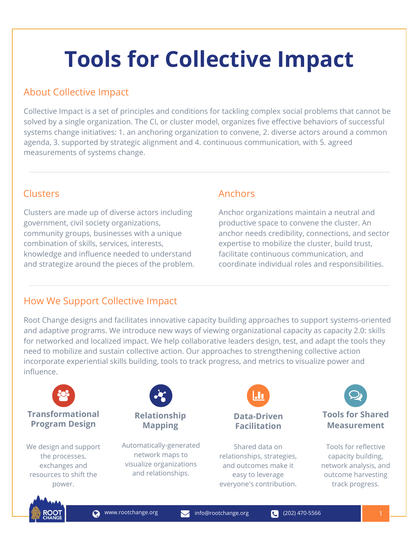# **Tools for Collective Impact**

### About Collective Impact

Collective Impact is a set of principles and conditions for tackling complex social problems that cannot be solved by a single organization. The CI, or cluster model, organizes five effective behaviors of successful systems change initiatives: 1. an anchoring organization to convene, 2. diverse actors around a common agenda, 3. supported by strategic alignment and 4. continuous communication, with 5. agreed measurements of systems change.

Clusters are made up of diverse actors including government, civil society organizations, community groups, businesses with a unique combination of skills, services, interests, knowledge and influence needed to understand and strategize around the pieces of the problem.

#### Clusters **Anchors**

Anchor organizations maintain a neutral and productive space to convene the cluster. An anchor needs credibility, connections, and sector expertise to mobilize the cluster, build trust, facilitate continuous communication, and coordinate individual roles and responsibilities.

### How We Support Collective Impact

Root Change designs and facilitates innovative capacity building approaches to support systems-oriented and adaptive programs. We introduce new ways of viewing organizational capacity as capacity 2.0: skills for networked and localized impact. We help collaborative leaders design, test, and adapt the tools they need to mobilize and sustain collective action. Our approaches to strengthening collective action incorporate experiential skills building, tools to track progress, and metrics to visualize power and influence.